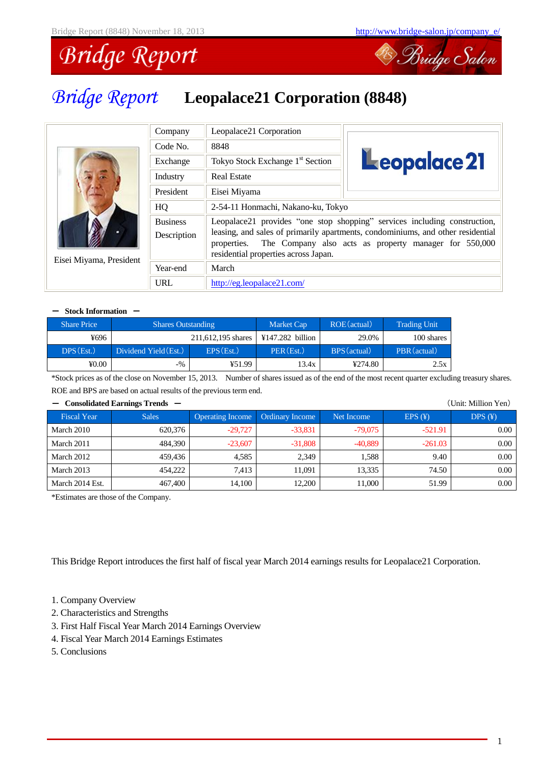

# *Bridge Report* **Leopalace21 Corporation (8848)**

|                         | Company                        | Leopalace21 Corporation                             |                                                                                                                                                                                                                       |  |  |  |  |
|-------------------------|--------------------------------|-----------------------------------------------------|-----------------------------------------------------------------------------------------------------------------------------------------------------------------------------------------------------------------------|--|--|--|--|
|                         | Code No.                       | 8848                                                |                                                                                                                                                                                                                       |  |  |  |  |
|                         | Exchange                       | Tokyo Stock Exchange 1 <sup>st</sup> Section        | Leopalace 21                                                                                                                                                                                                          |  |  |  |  |
|                         | Industry                       | <b>Real Estate</b>                                  |                                                                                                                                                                                                                       |  |  |  |  |
|                         | President                      | Eisei Miyama                                        |                                                                                                                                                                                                                       |  |  |  |  |
|                         | HQ                             | 2-54-11 Honmachi, Nakano-ku, Tokyo                  |                                                                                                                                                                                                                       |  |  |  |  |
|                         | <b>Business</b><br>Description | properties.<br>residential properties across Japan. | Leopalace21 provides "one stop shopping" services including construction,<br>leasing, and sales of primarily apartments, condominiums, and other residential<br>The Company also acts as property manager for 550,000 |  |  |  |  |
| Eisei Miyama, President | Year-end                       | March                                               |                                                                                                                                                                                                                       |  |  |  |  |
|                         | URL                            | http://eg.leopalace21.com/                          |                                                                                                                                                                                                                       |  |  |  |  |

#### - Stock Information -

| <b>Share Price</b> | <b>Shares Outstanding</b> |                    | <b>Market Cap</b> | ROE (actual) | <b>Trading Unit</b> |
|--------------------|---------------------------|--------------------|-------------------|--------------|---------------------|
| ¥696               |                           | 211.612.195 shares | ¥147.282 billion  | 29.0%        | 100 shares          |
| DPS(Est.)          | Dividend Yield (Est.)     | EPS(Est.)          | PER(Est.)         | BPS (actual) | PBR (actual)        |
| $\text{\#}0.00$    | $-$ %                     | ¥51.99             | 13.4x             | ¥274.80      | 2.5x                |

\*Stock prices as of the close on November 15, 2013. Number of shares issued as of the end of the most recent quarter excluding treasury shares. ROE and BPS are based on actual results of the previous term end.

| (Unit: Million Yen)<br>Consolidated Earnings Trends $-$ |              |                         |                        |            |           |                |  |  |
|---------------------------------------------------------|--------------|-------------------------|------------------------|------------|-----------|----------------|--|--|
| <b>Fiscal Year</b>                                      | <b>Sales</b> | <b>Operating Income</b> | <b>Ordinary Income</b> | Net Income | EPS(F)    | DPS(F)         |  |  |
| March 2010                                              | 620,376      | $-29.727$               | $-33,831$              | $-79.075$  | $-521.91$ | $0.00^{\circ}$ |  |  |
| March 2011                                              | 484,390      | $-23,607$               | $-31,808$              | $-40,889$  | $-261.03$ | $0.00\,$       |  |  |
| March 2012                                              | 459,436      | 4.585                   | 2.349                  | 1.588      | 9.40      | 0.00           |  |  |
| March 2013                                              | 454,222      | 7.413                   | 11.091                 | 13.335     | 74.50     | $0.00\,$       |  |  |
| March 2014 Est.                                         | 467,400      | 14,100                  | 12.200                 | 11.000     | 51.99     | $0.00 -$       |  |  |

\*Estimates are those of the Company.

This Bridge Report introduces the first half of fiscal year March 2014 earnings results for Leopalace21 Corporation.

- 1. Company Overview
- 2. Characteristics and Strengths
- 3. First Half Fiscal Year March 2014 Earnings Overview
- 4. Fiscal Year March 2014 Earnings Estimates
- 5. Conclusions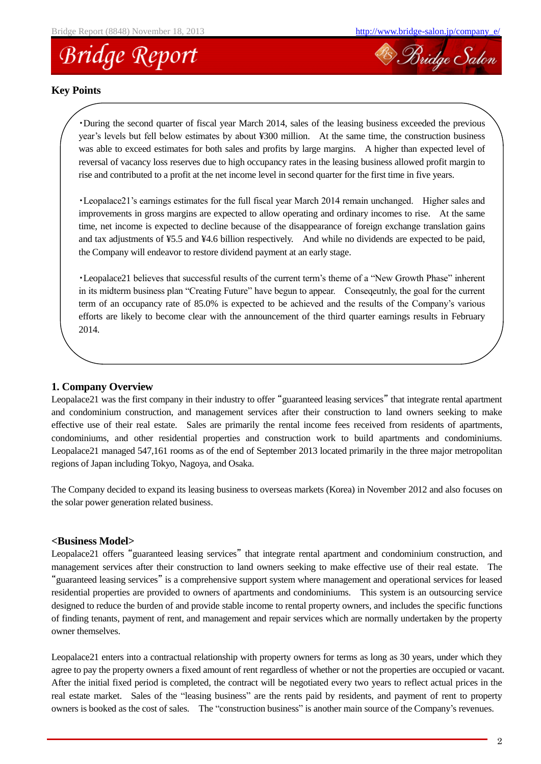



### **Key Points**

・During the second quarter of fiscal year March 2014, sales of the leasing business exceeded the previous year's levels but fell below estimates by about ¥300 million. At the same time, the construction business was able to exceed estimates for both sales and profits by large margins. A higher than expected level of reversal of vacancy loss reserves due to high occupancy rates in the leasing business allowed profit margin to rise and contributed to a profit at the net income level in second quarter for the first time in five years.

・Leopalace21's earnings estimates for the full fiscal year March 2014 remain unchanged. Higher sales and improvements in gross margins are expected to allow operating and ordinary incomes to rise. At the same time, net income is expected to decline because of the disappearance of foreign exchange translation gains and tax adjustments of ¥5.5 and ¥4.6 billion respectively. And while no dividends are expected to be paid, the Company will endeavor to restore dividend payment at an early stage.

・Leopalace21 believes that successful results of the current term's theme of a "New Growth Phase" inherent in its midterm business plan "Creating Future" have begun to appear. Conseqeutnly, the goal for the current term of an occupancy rate of 85.0% is expected to be achieved and the results of the Company's various efforts are likely to become clear with the announcement of the third quarter earnings results in February 2014.

### **1. Company Overview**

Leopalace21 was the first company in their industry to offer "guaranteed leasing services" that integrate rental apartment and condominium construction, and management services after their construction to land owners seeking to make effective use of their real estate. Sales are primarily the rental income fees received from residents of apartments, condominiums, and other residential properties and construction work to build apartments and condominiums. Leopalace21 managed 547,161 rooms as of the end of September 2013 located primarily in the three major metropolitan regions of Japan including Tokyo, Nagoya, and Osaka.

The Company decided to expand its leasing business to overseas markets (Korea) in November 2012 and also focuses on the solar power generation related business.

### **<Business Model>**

Leopalace21 offers "guaranteed leasing services" that integrate rental apartment and condominium construction, and management services after their construction to land owners seeking to make effective use of their real estate. The "guaranteed leasing services" is a comprehensive support system where management and operational services for leased residential properties are provided to owners of apartments and condominiums. This system is an outsourcing service designed to reduce the burden of and provide stable income to rental property owners, and includes the specific functions of finding tenants, payment of rent, and management and repair services which are normally undertaken by the property owner themselves.

Leopalace21 enters into a contractual relationship with property owners for terms as long as 30 years, under which they agree to pay the property owners a fixed amount of rent regardless of whether or not the properties are occupied or vacant. After the initial fixed period is completed, the contract will be negotiated every two years to reflect actual prices in the real estate market. Sales of the "leasing business" are the rents paid by residents, and payment of rent to property owners is booked as the cost of sales. The "construction business" is another main source of the Company's revenues.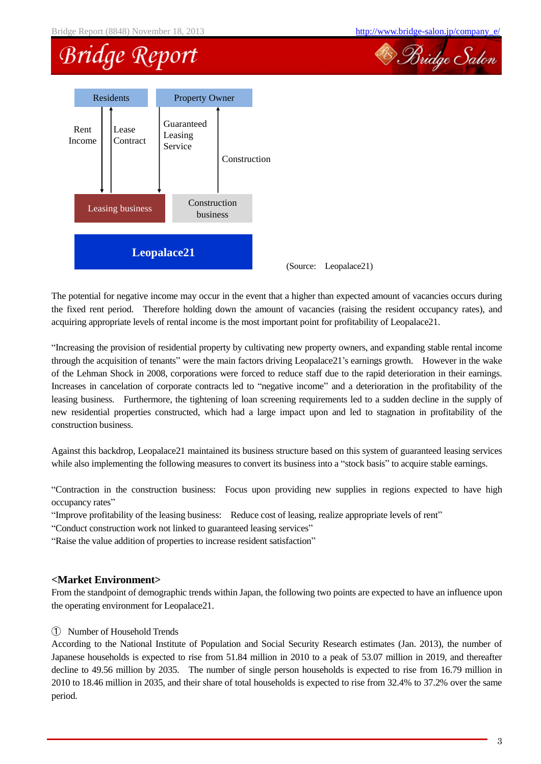<sup>28</sup> Bridge Salon

### **Bridge Report**



(Source: Leopalace21)

The potential for negative income may occur in the event that a higher than expected amount of vacancies occurs during the fixed rent period. Therefore holding down the amount of vacancies (raising the resident occupancy rates), and acquiring appropriate levels of rental income is the most important point for profitability of Leopalace21.

"Increasing the provision of residential property by cultivating new property owners, and expanding stable rental income through the acquisition of tenants" were the main factors driving Leopalace21's earnings growth. However in the wake of the Lehman Shock in 2008, corporations were forced to reduce staff due to the rapid deterioration in their earnings. Increases in cancelation of corporate contracts led to "negative income" and a deterioration in the profitability of the leasing business. Furthermore, the tightening of loan screening requirements led to a sudden decline in the supply of new residential properties constructed, which had a large impact upon and led to stagnation in profitability of the construction business.

Against this backdrop, Leopalace21 maintained its business structure based on this system of guaranteed leasing services while also implementing the following measures to convert its business into a "stock basis" to acquire stable earnings.

"Contraction in the construction business: Focus upon providing new supplies in regions expected to have high occupancy rates"

"Improve profitability of the leasing business: Reduce cost of leasing, realize appropriate levels of rent"

"Conduct construction work not linked to guaranteed leasing services"

"Raise the value addition of properties to increase resident satisfaction"

### **<Market Environment>**

From the standpoint of demographic trends within Japan, the following two points are expected to have an influence upon the operating environment for Leopalace21.

### ① Number of Household Trends

According to the National Institute of Population and Social Security Research estimates (Jan. 2013), the number of Japanese households is expected to rise from 51.84 million in 2010 to a peak of 53.07 million in 2019, and thereafter decline to 49.56 million by 2035. The number of single person households is expected to rise from 16.79 million in 2010 to 18.46 million in 2035, and their share of total households is expected to rise from 32.4% to 37.2% over the same period.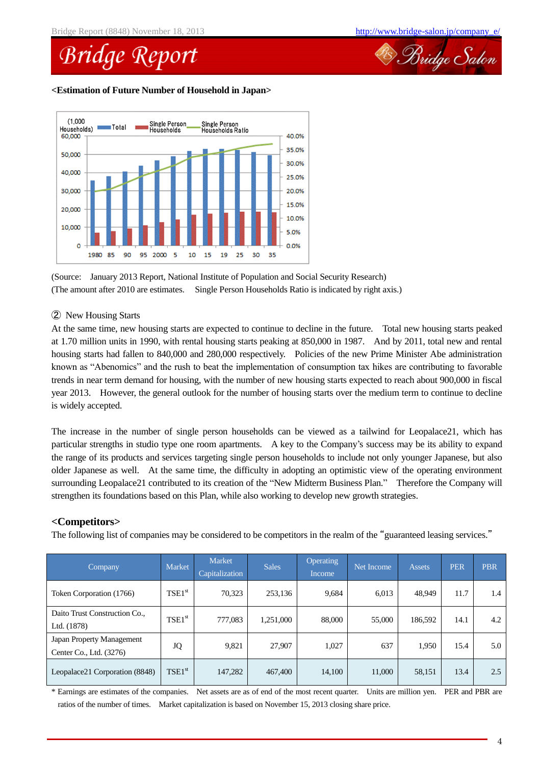

### **<Estimation of Future Number of Household in Japan>**



<sup>(</sup>Source: January 2013 Report, National Institute of Population and Social Security Research) (The amount after 2010 are estimates. Single Person Households Ratio is indicated by right axis.)

### ② New Housing Starts

At the same time, new housing starts are expected to continue to decline in the future. Total new housing starts peaked at 1.70 million units in 1990, with rental housing starts peaking at 850,000 in 1987. And by 2011, total new and rental housing starts had fallen to 840,000 and 280,000 respectively. Policies of the new Prime Minister Abe administration known as "Abenomics" and the rush to beat the implementation of consumption tax hikes are contributing to favorable trends in near term demand for housing, with the number of new housing starts expected to reach about 900,000 in fiscal year 2013. However, the general outlook for the number of housing starts over the medium term to continue to decline is widely accepted.

The increase in the number of single person households can be viewed as a tailwind for Leopalace21, which has particular strengths in studio type one room apartments. A key to the Company's success may be its ability to expand the range of its products and services targeting single person households to include not only younger Japanese, but also older Japanese as well. At the same time, the difficulty in adopting an optimistic view of the operating environment surrounding Leopalace21 contributed to its creation of the "New Midterm Business Plan." Therefore the Company will strengthen its foundations based on this Plan, while also working to develop new growth strategies.

### **<Competitors>**

The following list of companies may be considered to be competitors in the realm of the "guaranteed leasing services."

| Company                                              | Market      | <b>Market</b><br>Capitalization | <b>Sales</b> | <b>Operating</b><br>Income | Net Income | <b>Assets</b> | <b>PER</b> | <b>PBR</b> |
|------------------------------------------------------|-------------|---------------------------------|--------------|----------------------------|------------|---------------|------------|------------|
| Token Corporation (1766)                             | $TSE1^{st}$ | 70,323                          | 253,136      | 9,684                      | 6,013      | 48,949        | 11.7       | 1.4        |
| Daito Trust Construction Co<br>Ltd. (1878)           | $TSE1^{st}$ | 777,083                         | 1,251,000    | 88,000                     | 55,000     | 186,592       | 14.1       | 4.2        |
| Japan Property Management<br>Center Co., Ltd. (3276) | JQ          | 9,821                           | 27,907       | 1,027                      | 637        | 1,950         | 15.4       | 5.0        |
| Leopalace21 Corporation (8848)                       | $TSE1^{st}$ | 147,282                         | 467,400      | 14,100                     | 11,000     | 58,151        | 13.4       | 2.5        |

\* Earnings are estimates of the companies. Net assets are as of end of the most recent quarter. Units are million yen. PER and PBR are ratios of the number of times. Market capitalization is based on November 15, 2013 closing share price.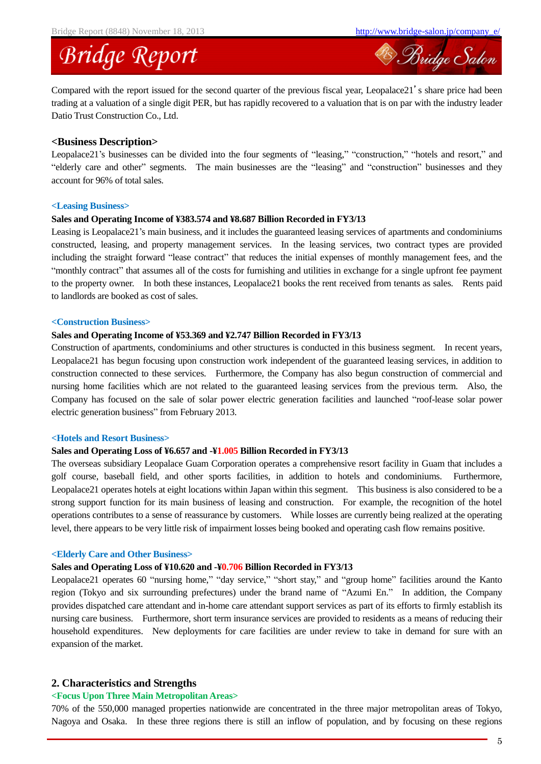<sup>28</sup> Bridge Salon

### **Bridge Report**

Compared with the report issued for the second quarter of the previous fiscal year, Leopalace21's share price had been trading at a valuation of a single digit PER, but has rapidly recovered to a valuation that is on par with the industry leader Datio Trust Construction Co., Ltd.

#### **<Business Description>**

Leopalace21's businesses can be divided into the four segments of "leasing," "construction," "hotels and resort," and "elderly care and other" segments. The main businesses are the "leasing" and "construction" businesses and they account for 96% of total sales.

#### **<Leasing Business>**

#### **Sales and Operating Income of ¥383.574 and ¥8.687 Billion Recorded in FY3/13**

Leasing is Leopalace21's main business, and it includes the guaranteed leasing services of apartments and condominiums constructed, leasing, and property management services. In the leasing services, two contract types are provided including the straight forward "lease contract" that reduces the initial expenses of monthly management fees, and the "monthly contract" that assumes all of the costs for furnishing and utilities in exchange for a single upfront fee payment to the property owner. In both these instances, Leopalace21 books the rent received from tenants as sales. Rents paid to landlords are booked as cost of sales.

### **<Construction Business>**

### **Sales and Operating Income of ¥53.369 and ¥2.747 Billion Recorded in FY3/13**

Construction of apartments, condominiums and other structures is conducted in this business segment. In recent years, Leopalace21 has begun focusing upon construction work independent of the guaranteed leasing services, in addition to construction connected to these services. Furthermore, the Company has also begun construction of commercial and nursing home facilities which are not related to the guaranteed leasing services from the previous term. Also, the Company has focused on the sale of solar power electric generation facilities and launched "roof-lease solar power electric generation business" from February 2013.

#### **<Hotels and Resort Business>**

### **Sales and Operating Loss of ¥6.657 and -¥1.005 Billion Recorded in FY3/13**

The overseas subsidiary Leopalace Guam Corporation operates a comprehensive resort facility in Guam that includes a golf course, baseball field, and other sports facilities, in addition to hotels and condominiums. Furthermore, Leopalace21 operates hotels at eight locations within Japan within this segment. This business is also considered to be a strong support function for its main business of leasing and construction. For example, the recognition of the hotel operations contributes to a sense of reassurance by customers. While losses are currently being realized at the operating level, there appears to be very little risk of impairment losses being booked and operating cash flow remains positive.

#### **<Elderly Care and Other Business>**

#### **Sales and Operating Loss of ¥10.620 and -¥0.706 Billion Recorded in FY3/13**

Leopalace21 operates 60 "nursing home," "day service," "short stay," and "group home" facilities around the Kanto region (Tokyo and six surrounding prefectures) under the brand name of "Azumi En." In addition, the Company provides dispatched care attendant and in-home care attendant support services as part of its efforts to firmly establish its nursing care business. Furthermore, short term insurance services are provided to residents as a means of reducing their household expenditures. New deployments for care facilities are under review to take in demand for sure with an expansion of the market.

### **2. Characteristics and Strengths**

#### **<Focus Upon Three Main Metropolitan Areas>**

70% of the 550,000 managed properties nationwide are concentrated in the three major metropolitan areas of Tokyo, Nagoya and Osaka. In these three regions there is still an inflow of population, and by focusing on these regions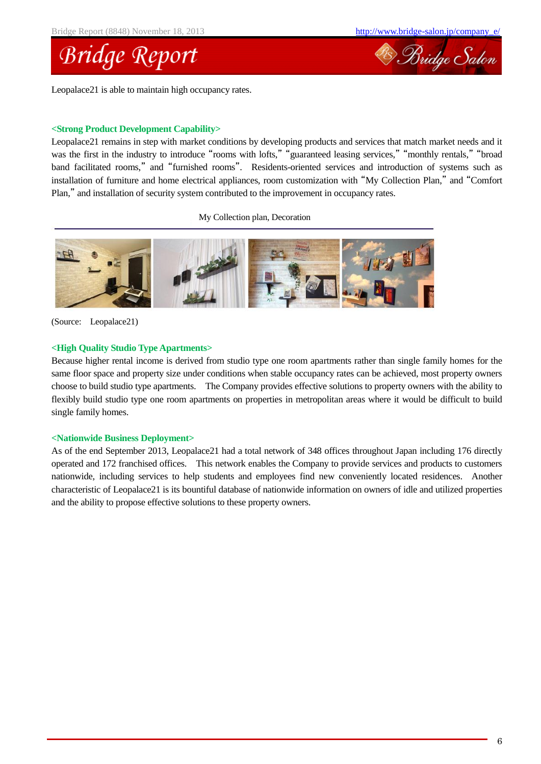



### **<Strong Product Development Capability>**

Leopalace21 remains in step with market conditions by developing products and services that match market needs and it was the first in the industry to introduce "rooms with lofts," "guaranteed leasing services," "monthly rentals," "broad band facilitated rooms," and "furnished rooms". Residents-oriented services and introduction of systems such as installation of furniture and home electrical appliances, room customization with "My Collection Plan," and "Comfort Plan," and installation of security system contributed to the improvement in occupancy rates.

My Collection plan, Decoration



(Source: Leopalace21)

### **<High Quality Studio Type Apartments>**

Because higher rental income is derived from studio type one room apartments rather than single family homes for the same floor space and property size under conditions when stable occupancy rates can be achieved, most property owners choose to build studio type apartments. The Company provides effective solutions to property owners with the ability to flexibly build studio type one room apartments on properties in metropolitan areas where it would be difficult to build single family homes.

### **<Nationwide Business Deployment>**

As of the end September 2013, Leopalace21 had a total network of 348 offices throughout Japan including 176 directly operated and 172 franchised offices. This network enables the Company to provide services and products to customers nationwide, including services to help students and employees find new conveniently located residences. Another characteristic of Leopalace21 is its bountiful database of nationwide information on owners of idle and utilized properties and the ability to propose effective solutions to these property owners.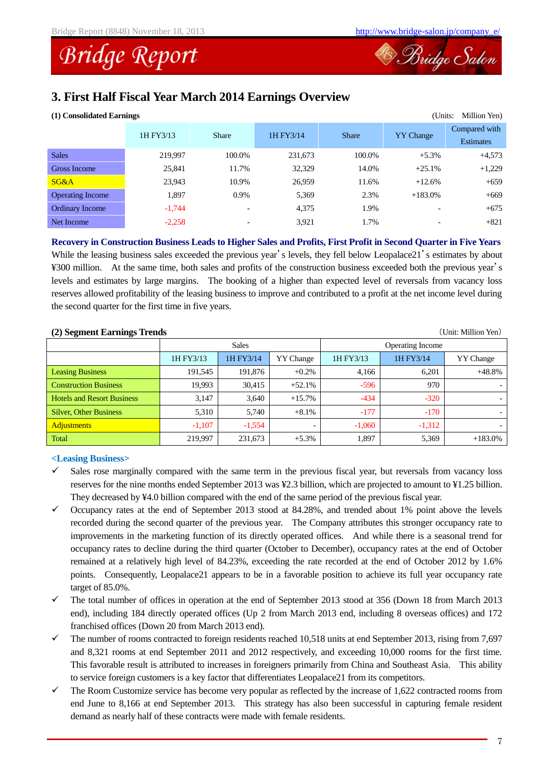

### **3. First Half Fiscal Year March 2014 Earnings Overview**

| (1) Consolidated Earnings<br>(Units:<br>Million Yen) |           |                          |           |              |                          |                                   |  |  |
|------------------------------------------------------|-----------|--------------------------|-----------|--------------|--------------------------|-----------------------------------|--|--|
|                                                      | 1H FY3/13 | <b>Share</b>             | 1H FY3/14 | <b>Share</b> | <b>YY</b> Change         | Compared with<br><b>Estimates</b> |  |  |
| <b>Sales</b>                                         | 219,997   | 100.0%                   | 231,673   | 100.0%       | $+5.3%$                  | $+4,573$                          |  |  |
| Gross Income                                         | 25,841    | 11.7%                    | 32,329    | 14.0%        | $+25.1%$                 | $+1,229$                          |  |  |
| SG&A                                                 | 23,943    | 10.9%                    | 26,959    | 11.6%        | $+12.6%$                 | $+659$                            |  |  |
| <b>Operating Income</b>                              | 1,897     | 0.9%                     | 5,369     | 2.3%         | $+183.0%$                | $+669$                            |  |  |
| Ordinary Income                                      | $-1,744$  | $\overline{\phantom{0}}$ | 4,375     | 1.9%         | $\overline{\phantom{0}}$ | $+675$                            |  |  |
| Net Income                                           | $-2,258$  | $\overline{\phantom{0}}$ | 3,921     | 1.7%         | $\overline{\phantom{0}}$ | $+821$                            |  |  |

**Recovery in Construction Business Leads to Higher Sales and Profits, First Profit in Second Quarter in Five Years**

While the leasing business sales exceeded the previous year's levels, they fell below Leopalace21's estimates by about ¥300 million. At the same time, both sales and profits of the construction business exceeded both the previous year's levels and estimates by large margins. The booking of a higher than expected level of reversals from vacancy loss reserves allowed profitability of the leasing business to improve and contributed to a profit at the net income level during the second quarter for the first time in five years.

### **(2) Segment Earnings Trends** (Unit: Million Yen)

| $-$                               |           |              |                          |                  |           |                          |  |  |
|-----------------------------------|-----------|--------------|--------------------------|------------------|-----------|--------------------------|--|--|
|                                   |           | <b>Sales</b> |                          | Operating Income |           |                          |  |  |
|                                   | 1H FY3/13 | 1H FY3/14    | <b>YY</b> Change         | 1H FY3/13        | 1H FY3/14 | YY Change                |  |  |
| <b>Leasing Business</b>           | 191.545   | 191,876      | $+0.2\%$                 | 4,166            | 6.201     | $+48.8%$                 |  |  |
| <b>Construction Business</b>      | 19.993    | 30,415       | $+52.1%$                 | $-596$           | 970       | $\overline{\phantom{a}}$ |  |  |
| <b>Hotels and Resort Business</b> | 3,147     | 3,640        | $+15.7%$                 | $-434$           | $-320$    | $\overline{\phantom{a}}$ |  |  |
| <b>Silver, Other Business</b>     | 5,310     | 5.740        | $+8.1\%$                 | $-177$           | $-170$    | $\overline{\phantom{a}}$ |  |  |
| <b>Adjustments</b>                | $-1,107$  | $-1,554$     | $\overline{\phantom{0}}$ | $-1,060$         | $-1,312$  | $\sim$                   |  |  |
| Total                             | 219,997   | 231,673      | $+5.3%$                  | 1,897            | 5,369     | $+183.0%$                |  |  |

### **<Leasing Business>**

- $\checkmark$  Sales rose marginally compared with the same term in the previous fiscal year, but reversals from vacancy loss reserves for the nine months ended September 2013 was ¥2.3 billion, which are projected to amount to ¥1.25 billion. They decreased by ¥4.0 billion compared with the end of the same period of the previous fiscal year.
- $\checkmark$  Occupancy rates at the end of September 2013 stood at 84.28%, and trended about 1% point above the levels recorded during the second quarter of the previous year. The Company attributes this stronger occupancy rate to improvements in the marketing function of its directly operated offices. And while there is a seasonal trend for occupancy rates to decline during the third quarter (October to December), occupancy rates at the end of October remained at a relatively high level of 84.23%, exceeding the rate recorded at the end of October 2012 by 1.6% points. Consequently, Leopalace21 appears to be in a favorable position to achieve its full year occupancy rate target of 85.0%.
- $\checkmark$  The total number of offices in operation at the end of September 2013 stood at 356 (Down 18 from March 2013 end), including 184 directly operated offices (Up 2 from March 2013 end, including 8 overseas offices) and 172 franchised offices (Down 20 from March 2013 end).
- The number of rooms contracted to foreign residents reached 10,518 units at end September 2013, rising from 7,697 and 8,321 rooms at end September 2011 and 2012 respectively, and exceeding 10,000 rooms for the first time. This favorable result is attributed to increases in foreigners primarily from China and Southeast Asia. This ability to service foreign customers is a key factor that differentiates Leopalace21 from its competitors.
- $\checkmark$  The Room Customize service has become very popular as reflected by the increase of 1,622 contracted rooms from end June to 8,166 at end September 2013. This strategy has also been successful in capturing female resident demand as nearly half of these contracts were made with female residents.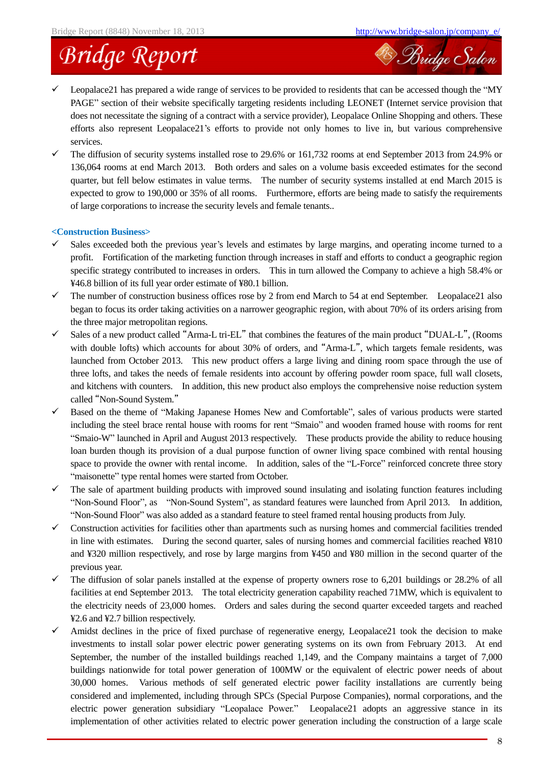

- Leopalace21 has prepared a wide range of services to be provided to residents that can be accessed though the "MY PAGE" section of their website specifically targeting residents including LEONET (Internet service provision that does not necessitate the signing of a contract with a service provider), Leopalace Online Shopping and others. These efforts also represent Leopalace21's efforts to provide not only homes to live in, but various comprehensive services.
- $\checkmark$  The diffusion of security systems installed rose to 29.6% or 161,732 rooms at end September 2013 from 24.9% or 136,064 rooms at end March 2013. Both orders and sales on a volume basis exceeded estimates for the second quarter, but fell below estimates in value terms. The number of security systems installed at end March 2015 is expected to grow to 190,000 or 35% of all rooms. Furthermore, efforts are being made to satisfy the requirements of large corporations to increase the security levels and female tenants..

### **<Construction Business>**

- Sales exceeded both the previous year's levels and estimates by large margins, and operating income turned to a profit. Fortification of the marketing function through increases in staff and efforts to conduct a geographic region specific strategy contributed to increases in orders. This in turn allowed the Company to achieve a high 58.4% or ¥46.8 billion of its full year order estimate of ¥80.1 billion.
- $\checkmark$  The number of construction business offices rose by 2 from end March to 54 at end September. Leopalace21 also began to focus its order taking activities on a narrower geographic region, with about 70% of its orders arising from the three major metropolitan regions.
- $\checkmark$  Sales of a new product called "Arma-L tri-EL" that combines the features of the main product "DUAL-L", (Rooms with double lofts) which accounts for about 30% of orders, and "Arma-L", which targets female residents, was launched from October 2013. This new product offers a large living and dining room space through the use of three lofts, and takes the needs of female residents into account by offering powder room space, full wall closets, and kitchens with counters. In addition, this new product also employs the comprehensive noise reduction system called "Non-Sound System."
- $\checkmark$  Based on the theme of "Making Japanese Homes New and Comfortable", sales of various products were started including the steel brace rental house with rooms for rent "Smaio" and wooden framed house with rooms for rent "Smaio-W" launched in April and August 2013 respectively. These products provide the ability to reduce housing loan burden though its provision of a dual purpose function of owner living space combined with rental housing space to provide the owner with rental income. In addition, sales of the "L-Force" reinforced concrete three story "maisonette" type rental homes were started from October.
- The sale of apartment building products with improved sound insulating and isolating function features including "Non-Sound Floor", as "Non-Sound System", as standard features were launched from April 2013. In addition, "Non-Sound Floor" was also added as a standard feature to steel framed rental housing products from July.
- $\checkmark$  Construction activities for facilities other than apartments such as nursing homes and commercial facilities trended in line with estimates. During the second quarter, sales of nursing homes and commercial facilities reached ¥810 and ¥320 million respectively, and rose by large margins from ¥450 and ¥80 million in the second quarter of the previous year.
- $\checkmark$  The diffusion of solar panels installed at the expense of property owners rose to 6,201 buildings or 28.2% of all facilities at end September 2013. The total electricity generation capability reached 71MW, which is equivalent to the electricity needs of 23,000 homes. Orders and sales during the second quarter exceeded targets and reached ¥2.6 and ¥2.7 billion respectively.
- Amidst declines in the price of fixed purchase of regenerative energy, Leopalace21 took the decision to make investments to install solar power electric power generating systems on its own from February 2013. At end September, the number of the installed buildings reached 1,149, and the Company maintains a target of 7,000 buildings nationwide for total power generation of 100MW or the equivalent of electric power needs of about 30,000 homes. Various methods of self generated electric power facility installations are currently being considered and implemented, including through SPCs (Special Purpose Companies), normal corporations, and the electric power generation subsidiary "Leopalace Power." Leopalace21 adopts an aggressive stance in its implementation of other activities related to electric power generation including the construction of a large scale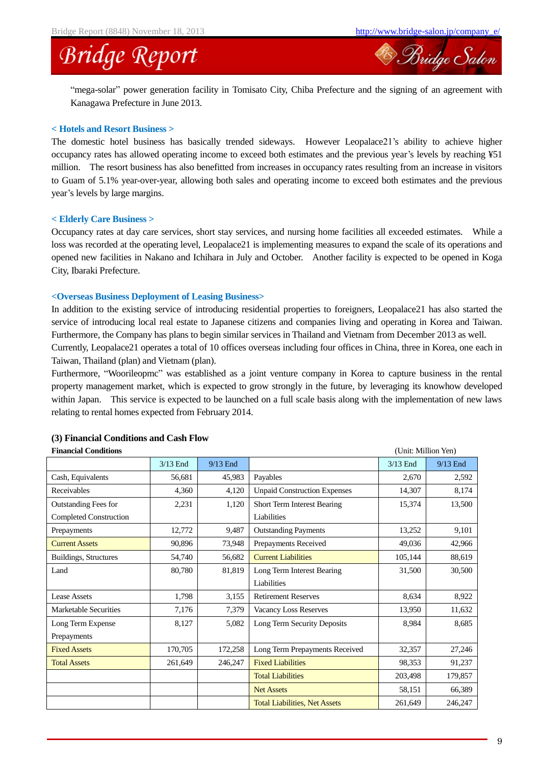<sup>28</sup> Bridge Salon

### **Bridge Report**

"mega-solar" power generation facility in Tomisato City, Chiba Prefecture and the signing of an agreement with Kanagawa Prefecture in June 2013.

### **< Hotels and Resort Business >**

The domestic hotel business has basically trended sideways. However Leopalace21's ability to achieve higher occupancy rates has allowed operating income to exceed both estimates and the previous year's levels by reaching ¥51 million. The resort business has also benefitted from increases in occupancy rates resulting from an increase in visitors to Guam of 5.1% year-over-year, allowing both sales and operating income to exceed both estimates and the previous year's levels by large margins.

### **< Elderly Care Business >**

Occupancy rates at day care services, short stay services, and nursing home facilities all exceeded estimates. While a loss was recorded at the operating level, Leopalace21 is implementing measures to expand the scale of its operations and opened new facilities in Nakano and Ichihara in July and October. Another facility is expected to be opened in Koga City, Ibaraki Prefecture.

### **<Overseas Business Deployment of Leasing Business>**

In addition to the existing service of introducing residential properties to foreigners, Leopalace21 has also started the service of introducing local real estate to Japanese citizens and companies living and operating in Korea and Taiwan. Furthermore, the Company has plans to begin similar services in Thailand and Vietnam from December 2013 as well.

Currently, Leopalace21 operates a total of 10 offices overseas including four offices in China, three in Korea, one each in Taiwan, Thailand (plan) and Vietnam (plan).

Furthermore, "Woorileopmc" was established as a joint venture company in Korea to capture business in the rental property management market, which is expected to grow strongly in the future, by leveraging its knowhow developed within Japan. This service is expected to be launched on a full scale basis along with the implementation of new laws relating to rental homes expected from February 2014.

| <b>Financial Conditions</b><br>(Unit: Million Yen) |            |            |                                      |            |            |  |
|----------------------------------------------------|------------|------------|--------------------------------------|------------|------------|--|
|                                                    | $3/13$ End | $9/13$ End |                                      | $3/13$ End | $9/13$ End |  |
| Cash, Equivalents                                  | 56,681     | 45,983     | Payables                             | 2,670      | 2,592      |  |
| Receivables                                        | 4,360      | 4,120      | <b>Unpaid Construction Expenses</b>  | 14,307     | 8,174      |  |
| <b>Outstanding Fees for</b>                        | 2,231      | 1,120      | Short Term Interest Bearing          | 15,374     | 13,500     |  |
| <b>Completed Construction</b>                      |            |            | Liabilities                          |            |            |  |
| Prepayments                                        | 12,772     | 9,487      | <b>Outstanding Payments</b>          | 13,252     | 9,101      |  |
| <b>Current Assets</b>                              | 90,896     | 73,948     | Prepayments Received                 | 49,036     | 42,966     |  |
| Buildings, Structures                              | 54,740     | 56,682     | <b>Current Liabilities</b>           | 105,144    | 88,619     |  |
| Land                                               | 80,780     | 81,819     | Long Term Interest Bearing           | 31,500     | 30,500     |  |
|                                                    |            |            | Liabilities                          |            |            |  |
| Lease Assets                                       | 1,798      | 3,155      | <b>Retirement Reserves</b>           | 8,634      | 8,922      |  |
| Marketable Securities                              | 7,176      | 7,379      | Vacancy Loss Reserves                | 13,950     | 11,632     |  |
| Long Term Expense                                  | 8,127      | 5,082      | Long Term Security Deposits          | 8,984      | 8,685      |  |
| Prepayments                                        |            |            |                                      |            |            |  |
| <b>Fixed Assets</b>                                | 170,705    | 172,258    | Long Term Prepayments Received       | 32,357     | 27,246     |  |
| <b>Total Assets</b>                                | 261,649    | 246,247    | <b>Fixed Liabilities</b>             | 98,353     | 91,237     |  |
|                                                    |            |            | <b>Total Liabilities</b>             | 203,498    | 179,857    |  |
|                                                    |            |            | <b>Net Assets</b>                    | 58,151     | 66,389     |  |
|                                                    |            |            | <b>Total Liabilities, Net Assets</b> | 261,649    | 246,247    |  |

### **(3) Financial Conditions and Cash Flow**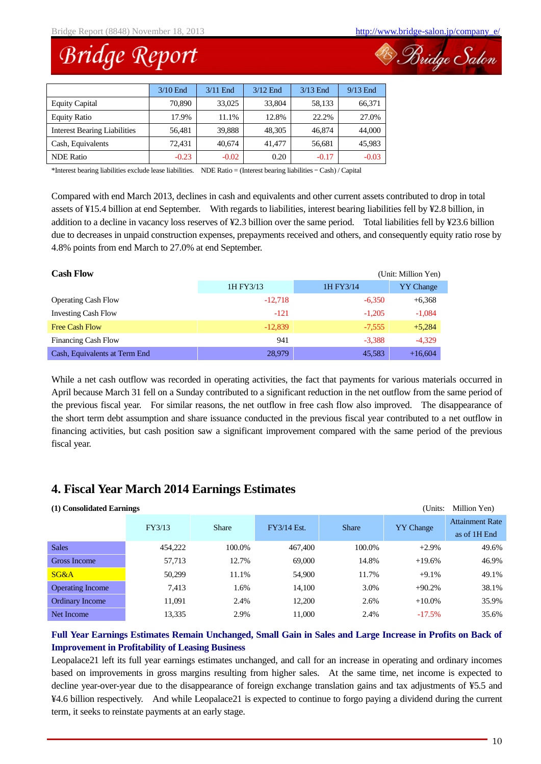B Bridge Salon

### **Bridge Report**

|                                     | $3/10$ End | $3/11$ End | $3/12$ End | $3/13$ End | $9/13$ End |
|-------------------------------------|------------|------------|------------|------------|------------|
| <b>Equity Capital</b>               | 70,890     | 33,025     | 33,804     | 58,133     | 66,371     |
| <b>Equity Ratio</b>                 | 17.9%      | 11.1%      | 12.8%      | 22.2%      | 27.0%      |
| <b>Interest Bearing Liabilities</b> | 56,481     | 39.888     | 48.305     | 46,874     | 44,000     |
| Cash, Equivalents                   | 72,431     | 40,674     | 41.477     | 56,681     | 45,983     |
| <b>NDE</b> Ratio                    | $-0.23$    | $-0.02$    | 0.20       | $-0.17$    | $-0.03$    |

\*Interest bearing liabilities exclude lease liabilities. NDE Ratio = (Interest bearing liabilities – Cash) / Capital

Compared with end March 2013, declines in cash and equivalents and other current assets contributed to drop in total assets of ¥15.4 billion at end September. With regards to liabilities, interest bearing liabilities fell by ¥2.8 billion, in addition to a decline in vacancy loss reserves of ¥2.3 billion over the same period. Total liabilities fell by ¥23.6 billion due to decreases in unpaid construction expenses, prepayments received and others, and consequently equity ratio rose by 4.8% points from end March to 27.0% at end September.

| <b>Cash Flow</b><br>(Unit: Million Yen) |           |           |                  |  |  |  |
|-----------------------------------------|-----------|-----------|------------------|--|--|--|
|                                         | 1H FY3/13 | 1H FY3/14 | <b>YY</b> Change |  |  |  |
| <b>Operating Cash Flow</b>              | $-12.718$ | $-6.350$  | $+6,368$         |  |  |  |
| <b>Investing Cash Flow</b>              | $-121$    | $-1.205$  | $-1,084$         |  |  |  |
| <b>Free Cash Flow</b>                   | $-12,839$ | $-7,555$  | $+5,284$         |  |  |  |
| <b>Financing Cash Flow</b>              | 941       | $-3.388$  | $-4.329$         |  |  |  |
| Cash, Equivalents at Term End           | 28,979    | 45,583    | $+16,604$        |  |  |  |

While a net cash outflow was recorded in operating activities, the fact that payments for various materials occurred in April because March 31 fell on a Sunday contributed to a significant reduction in the net outflow from the same period of the previous fiscal year. For similar reasons, the net outflow in free cash flow also improved. The disappearance of the short term debt assumption and share issuance conducted in the previous fiscal year contributed to a net outflow in financing activities, but cash position saw a significant improvement compared with the same period of the previous fiscal year.

### **4. Fiscal Year March 2014 Earnings Estimates**

| (1) Consolidated Earnings<br>(Units: |         |              |             |              |                  |                                        |  |  |  |
|--------------------------------------|---------|--------------|-------------|--------------|------------------|----------------------------------------|--|--|--|
|                                      | FY3/13  | <b>Share</b> | FY3/14 Est. | <b>Share</b> | <b>YY</b> Change | <b>Attainment Rate</b><br>as of 1H End |  |  |  |
| <b>Sales</b>                         | 454,222 | 100.0%       | 467,400     | 100.0%       | $+2.9%$          | 49.6%                                  |  |  |  |
| Gross Income                         | 57,713  | 12.7%        | 69,000      | 14.8%        | $+19.6%$         | 46.9%                                  |  |  |  |
| SG&A                                 | 50.299  | 11.1%        | 54,900      | 11.7%        | $+9.1%$          | 49.1%                                  |  |  |  |
| <b>Operating Income</b>              | 7.413   | 1.6%         | 14,100      | 3.0%         | $+90.2%$         | 38.1%                                  |  |  |  |
| Ordinary Income                      | 11,091  | 2.4%         | 12,200      | 2.6%         | $+10.0\%$        | 35.9%                                  |  |  |  |
| Net Income                           | 13,335  | 2.9%         | 11.000      | 2.4%         | $-17.5%$         | 35.6%                                  |  |  |  |

### **Full Year Earnings Estimates Remain Unchanged, Small Gain in Sales and Large Increase in Profits on Back of Improvement in Profitability of Leasing Business**

Leopalace21 left its full year earnings estimates unchanged, and call for an increase in operating and ordinary incomes based on improvements in gross margins resulting from higher sales. At the same time, net income is expected to decline year-over-year due to the disappearance of foreign exchange translation gains and tax adjustments of ¥5.5 and ¥4.6 billion respectively. And while Leopalace21 is expected to continue to forgo paying a dividend during the current term, it seeks to reinstate payments at an early stage.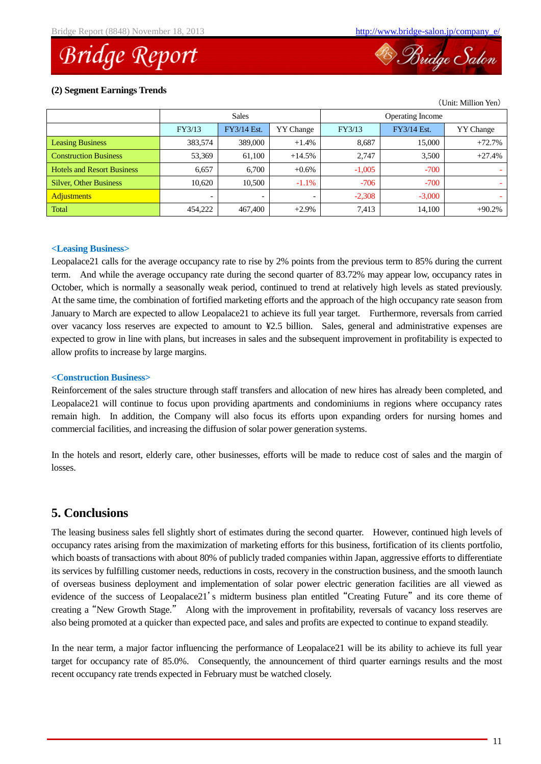<sup>28</sup> Bridge Salon

(Unit: Million Yen)

### **(2) Segment Earnings Trends**

|                                   |         | <b>Sales</b> |                  | <b>Operating Income</b> |             |                  |
|-----------------------------------|---------|--------------|------------------|-------------------------|-------------|------------------|
|                                   | FY3/13  | FY3/14 Est.  | <b>YY</b> Change | FY3/13                  | FY3/14 Est. | <b>YY</b> Change |
| <b>Leasing Business</b>           | 383,574 | 389,000      | $+1.4%$          | 8,687                   | 15,000      | $+72.7%$         |
| <b>Construction Business</b>      | 53,369  | 61,100       | $+14.5%$         | 2.747                   | 3,500       | $+27.4%$         |
| <b>Hotels and Resort Business</b> | 6.657   | 6,700        | $+0.6\%$         | $-1,005$                | $-700$      |                  |
| <b>Silver, Other Business</b>     | 10.620  | 10.500       | $-1.1\%$         | $-706$                  | $-700$      |                  |
| <b>Adjustments</b>                |         |              |                  | $-2,308$                | $-3,000$    |                  |
| <b>Total</b>                      | 454,222 | 467,400      | $+2.9\%$         | 7.413                   | 14,100      | $+90.2%$         |

### **<Leasing Business>**

Leopalace21 calls for the average occupancy rate to rise by 2% points from the previous term to 85% during the current term. And while the average occupancy rate during the second quarter of 83.72% may appear low, occupancy rates in October, which is normally a seasonally weak period, continued to trend at relatively high levels as stated previously. At the same time, the combination of fortified marketing efforts and the approach of the high occupancy rate season from January to March are expected to allow Leopalace21 to achieve its full year target. Furthermore, reversals from carried over vacancy loss reserves are expected to amount to ¥2.5 billion. Sales, general and administrative expenses are expected to grow in line with plans, but increases in sales and the subsequent improvement in profitability is expected to allow profits to increase by large margins.

### **<Construction Business>**

Reinforcement of the sales structure through staff transfers and allocation of new hires has already been completed, and Leopalace21 will continue to focus upon providing apartments and condominiums in regions where occupancy rates remain high. In addition, the Company will also focus its efforts upon expanding orders for nursing homes and commercial facilities, and increasing the diffusion of solar power generation systems.

In the hotels and resort, elderly care, other businesses, efforts will be made to reduce cost of sales and the margin of losses.

### **5. Conclusions**

The leasing business sales fell slightly short of estimates during the second quarter. However, continued high levels of occupancy rates arising from the maximization of marketing efforts for this business, fortification of its clients portfolio, which boasts of transactions with about 80% of publicly traded companies within Japan, aggressive efforts to differentiate its services by fulfilling customer needs, reductions in costs, recovery in the construction business, and the smooth launch of overseas business deployment and implementation of solar power electric generation facilities are all viewed as evidence of the success of Leopalace21's midterm business plan entitled "Creating Future" and its core theme of creating a "New Growth Stage." Along with the improvement in profitability, reversals of vacancy loss reserves are also being promoted at a quicker than expected pace, and sales and profits are expected to continue to expand steadily.

In the near term, a major factor influencing the performance of Leopalace21 will be its ability to achieve its full year target for occupancy rate of 85.0%. Consequently, the announcement of third quarter earnings results and the most recent occupancy rate trends expected in February must be watched closely.